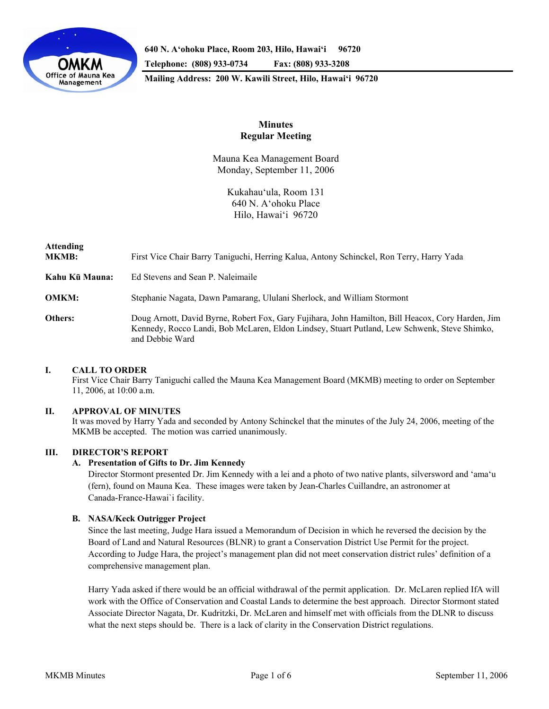

**640 N. A'ohoku Place, Room 203, Hilo, Hawai'i 96720 Telephone: (808) 933-0734 Fax: (808) 933-3208 Mailing Address: 200 W. Kawili Street, Hilo, Hawai'i 96720** 

## **Minutes Regular Meeting**

Mauna Kea Management Board Monday, September 11, 2006

> Kukahau'ula, Room 131 640 N. A'ohoku Place Hilo, Hawai'i 96720

# **Attending MKMB:** First Vice Chair Barry Taniguchi, Herring Kalua, Antony Schinckel, Ron Terry, Harry Yada **Kahu Kū Mauna:** Ed Stevens and Sean P. Naleimaile **OMKM:** Stephanie Nagata, Dawn Pamarang, Ululani Sherlock, and William Stormont **Others:** Doug Arnott, David Byrne, Robert Fox, Gary Fujihara, John Hamilton, Bill Heacox, Cory Harden, Jim Kennedy, Rocco Landi, Bob McLaren, Eldon Lindsey, Stuart Putland, Lew Schwenk, Steve Shimko, and Debbie Ward

## **I. CALL TO ORDER**

 First Vice Chair Barry Taniguchi called the Mauna Kea Management Board (MKMB) meeting to order on September 11, 2006, at 10:00 a.m.

## **II. APPROVAL OF MINUTES**

 It was moved by Harry Yada and seconded by Antony Schinckel that the minutes of the July 24, 2006, meeting of the MKMB be accepted. The motion was carried unanimously.

## **III. DIRECTOR'S REPORT**

## **A. Presentation of Gifts to Dr. Jim Kennedy**

Director Stormont presented Dr. Jim Kennedy with a lei and a photo of two native plants, silversword and 'ama'u (fern), found on Mauna Kea. These images were taken by Jean-Charles Cuillandre, an astronomer at Canada-France-Hawai`i facility.

## **B. NASA/Keck Outrigger Project**

Since the last meeting, Judge Hara issued a Memorandum of Decision in which he reversed the decision by the Board of Land and Natural Resources (BLNR) to grant a Conservation District Use Permit for the project. According to Judge Hara, the project's management plan did not meet conservation district rules' definition of a comprehensive management plan.

Harry Yada asked if there would be an official withdrawal of the permit application. Dr. McLaren replied IfA will work with the Office of Conservation and Coastal Lands to determine the best approach. Director Stormont stated Associate Director Nagata, Dr. Kudritzki, Dr. McLaren and himself met with officials from the DLNR to discuss what the next steps should be. There is a lack of clarity in the Conservation District regulations.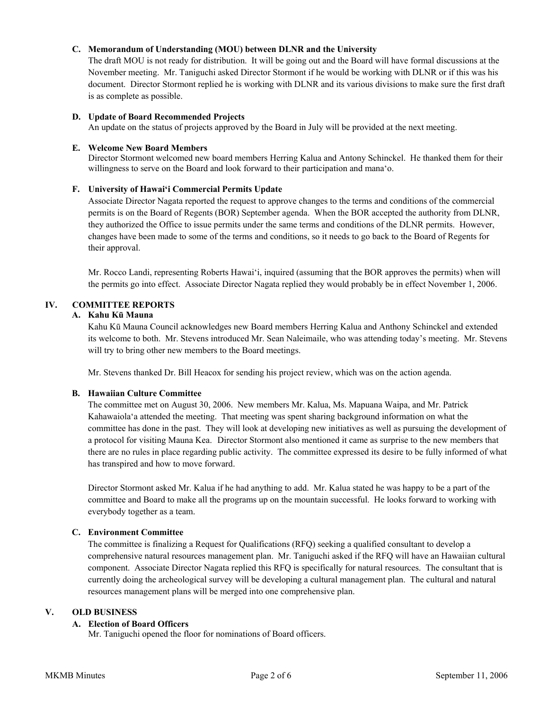## **C. Memorandum of Understanding (MOU) between DLNR and the University**

The draft MOU is not ready for distribution. It will be going out and the Board will have formal discussions at the November meeting. Mr. Taniguchi asked Director Stormont if he would be working with DLNR or if this was his document. Director Stormont replied he is working with DLNR and its various divisions to make sure the first draft is as complete as possible.

#### **D. Update of Board Recommended Projects**

An update on the status of projects approved by the Board in July will be provided at the next meeting.

#### **E. Welcome New Board Members**

Director Stormont welcomed new board members Herring Kalua and Antony Schinckel. He thanked them for their willingness to serve on the Board and look forward to their participation and mana'o.

## **F. University of Hawai'i Commercial Permits Update**

Associate Director Nagata reported the request to approve changes to the terms and conditions of the commercial permits is on the Board of Regents (BOR) September agenda. When the BOR accepted the authority from DLNR, they authorized the Office to issue permits under the same terms and conditions of the DLNR permits. However, changes have been made to some of the terms and conditions, so it needs to go back to the Board of Regents for their approval.

Mr. Rocco Landi, representing Roberts Hawai'i, inquired (assuming that the BOR approves the permits) when will the permits go into effect. Associate Director Nagata replied they would probably be in effect November 1, 2006.

## **IV. COMMITTEE REPORTS**

#### **A. Kahu Kū Mauna**

Kahu Kū Mauna Council acknowledges new Board members Herring Kalua and Anthony Schinckel and extended its welcome to both. Mr. Stevens introduced Mr. Sean Naleimaile, who was attending today's meeting. Mr. Stevens will try to bring other new members to the Board meetings.

Mr. Stevens thanked Dr. Bill Heacox for sending his project review, which was on the action agenda.

## **B. Hawaiian Culture Committee**

The committee met on August 30, 2006. New members Mr. Kalua, Ms. Mapuana Waipa, and Mr. Patrick Kahawaiola'a attended the meeting. That meeting was spent sharing background information on what the committee has done in the past. They will look at developing new initiatives as well as pursuing the development of a protocol for visiting Mauna Kea. Director Stormont also mentioned it came as surprise to the new members that there are no rules in place regarding public activity. The committee expressed its desire to be fully informed of what has transpired and how to move forward.

Director Stormont asked Mr. Kalua if he had anything to add. Mr. Kalua stated he was happy to be a part of the committee and Board to make all the programs up on the mountain successful. He looks forward to working with everybody together as a team.

## **C. Environment Committee**

The committee is finalizing a Request for Qualifications (RFQ) seeking a qualified consultant to develop a comprehensive natural resources management plan. Mr. Taniguchi asked if the RFQ will have an Hawaiian cultural component. Associate Director Nagata replied this RFQ is specifically for natural resources. The consultant that is currently doing the archeological survey will be developing a cultural management plan. The cultural and natural resources management plans will be merged into one comprehensive plan.

#### **V. OLD BUSINESS**

## **A. Election of Board Officers**

Mr. Taniguchi opened the floor for nominations of Board officers.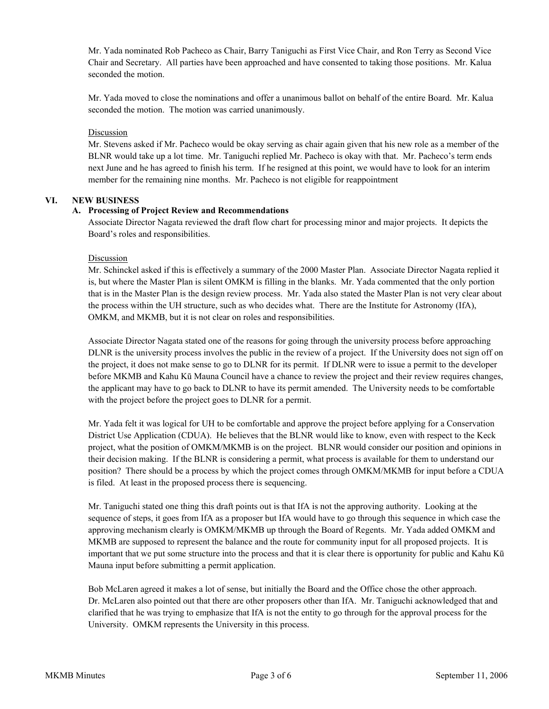Mr. Yada nominated Rob Pacheco as Chair, Barry Taniguchi as First Vice Chair, and Ron Terry as Second Vice Chair and Secretary. All parties have been approached and have consented to taking those positions. Mr. Kalua seconded the motion.

Mr. Yada moved to close the nominations and offer a unanimous ballot on behalf of the entire Board. Mr. Kalua seconded the motion. The motion was carried unanimously.

#### Discussion

Mr. Stevens asked if Mr. Pacheco would be okay serving as chair again given that his new role as a member of the BLNR would take up a lot time. Mr. Taniguchi replied Mr. Pacheco is okay with that. Mr. Pacheco's term ends next June and he has agreed to finish his term. If he resigned at this point, we would have to look for an interim member for the remaining nine months. Mr. Pacheco is not eligible for reappointment

#### **VI. NEW BUSINESS**

#### **A. Processing of Project Review and Recommendations**

Associate Director Nagata reviewed the draft flow chart for processing minor and major projects. It depicts the Board's roles and responsibilities.

#### Discussion

Mr. Schinckel asked if this is effectively a summary of the 2000 Master Plan. Associate Director Nagata replied it is, but where the Master Plan is silent OMKM is filling in the blanks. Mr. Yada commented that the only portion that is in the Master Plan is the design review process. Mr. Yada also stated the Master Plan is not very clear about the process within the UH structure, such as who decides what. There are the Institute for Astronomy (IfA), OMKM, and MKMB, but it is not clear on roles and responsibilities.

Associate Director Nagata stated one of the reasons for going through the university process before approaching DLNR is the university process involves the public in the review of a project. If the University does not sign off on the project, it does not make sense to go to DLNR for its permit. If DLNR were to issue a permit to the developer before MKMB and Kahu Kū Mauna Council have a chance to review the project and their review requires changes, the applicant may have to go back to DLNR to have its permit amended. The University needs to be comfortable with the project before the project goes to DLNR for a permit.

Mr. Yada felt it was logical for UH to be comfortable and approve the project before applying for a Conservation District Use Application (CDUA). He believes that the BLNR would like to know, even with respect to the Keck project, what the position of OMKM/MKMB is on the project. BLNR would consider our position and opinions in their decision making. If the BLNR is considering a permit, what process is available for them to understand our position? There should be a process by which the project comes through OMKM/MKMB for input before a CDUA is filed. At least in the proposed process there is sequencing.

Mr. Taniguchi stated one thing this draft points out is that IfA is not the approving authority. Looking at the sequence of steps, it goes from IfA as a proposer but IfA would have to go through this sequence in which case the approving mechanism clearly is OMKM/MKMB up through the Board of Regents. Mr. Yada added OMKM and MKMB are supposed to represent the balance and the route for community input for all proposed projects. It is important that we put some structure into the process and that it is clear there is opportunity for public and Kahu Kū Mauna input before submitting a permit application.

Bob McLaren agreed it makes a lot of sense, but initially the Board and the Office chose the other approach. Dr. McLaren also pointed out that there are other proposers other than IfA. Mr. Taniguchi acknowledged that and clarified that he was trying to emphasize that IfA is not the entity to go through for the approval process for the University. OMKM represents the University in this process.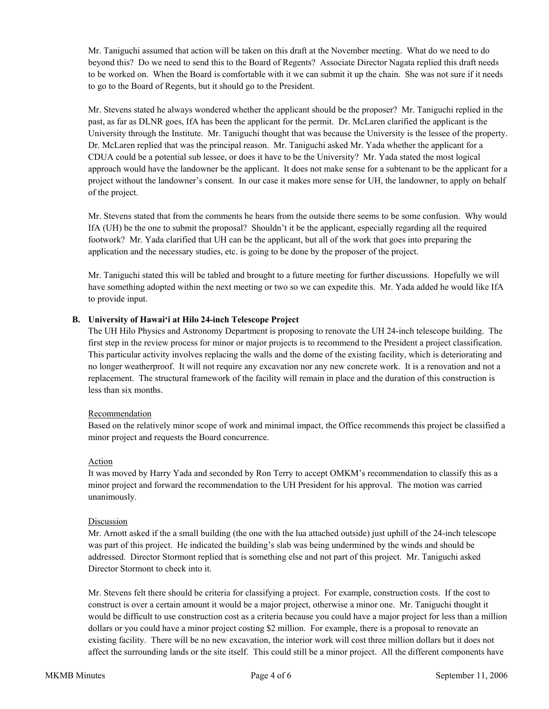Mr. Taniguchi assumed that action will be taken on this draft at the November meeting. What do we need to do beyond this? Do we need to send this to the Board of Regents? Associate Director Nagata replied this draft needs to be worked on. When the Board is comfortable with it we can submit it up the chain. She was not sure if it needs to go to the Board of Regents, but it should go to the President.

Mr. Stevens stated he always wondered whether the applicant should be the proposer? Mr. Taniguchi replied in the past, as far as DLNR goes, IfA has been the applicant for the permit. Dr. McLaren clarified the applicant is the University through the Institute. Mr. Taniguchi thought that was because the University is the lessee of the property. Dr. McLaren replied that was the principal reason. Mr. Taniguchi asked Mr. Yada whether the applicant for a CDUA could be a potential sub lessee, or does it have to be the University? Mr. Yada stated the most logical approach would have the landowner be the applicant. It does not make sense for a subtenant to be the applicant for a project without the landowner's consent. In our case it makes more sense for UH, the landowner, to apply on behalf of the project.

Mr. Stevens stated that from the comments he hears from the outside there seems to be some confusion. Why would IfA (UH) be the one to submit the proposal? Shouldn't it be the applicant, especially regarding all the required footwork? Mr. Yada clarified that UH can be the applicant, but all of the work that goes into preparing the application and the necessary studies, etc. is going to be done by the proposer of the project.

Mr. Taniguchi stated this will be tabled and brought to a future meeting for further discussions. Hopefully we will have something adopted within the next meeting or two so we can expedite this. Mr. Yada added he would like IfA to provide input.

## **B. University of Hawai'i at Hilo 24-inch Telescope Project**

The UH Hilo Physics and Astronomy Department is proposing to renovate the UH 24-inch telescope building. The first step in the review process for minor or major projects is to recommend to the President a project classification. This particular activity involves replacing the walls and the dome of the existing facility, which is deteriorating and no longer weatherproof. It will not require any excavation nor any new concrete work. It is a renovation and not a replacement. The structural framework of the facility will remain in place and the duration of this construction is less than six months.

## Recommendation

Based on the relatively minor scope of work and minimal impact, the Office recommends this project be classified a minor project and requests the Board concurrence.

## Action

It was moved by Harry Yada and seconded by Ron Terry to accept OMKM's recommendation to classify this as a minor project and forward the recommendation to the UH President for his approval. The motion was carried unanimously.

## Discussion

Mr. Arnott asked if the a small building (the one with the lua attached outside) just uphill of the 24-inch telescope was part of this project. He indicated the building's slab was being undermined by the winds and should be addressed. Director Stormont replied that is something else and not part of this project. Mr. Taniguchi asked Director Stormont to check into it.

Mr. Stevens felt there should be criteria for classifying a project. For example, construction costs. If the cost to construct is over a certain amount it would be a major project, otherwise a minor one. Mr. Taniguchi thought it would be difficult to use construction cost as a criteria because you could have a major project for less than a million dollars or you could have a minor project costing \$2 million. For example, there is a proposal to renovate an existing facility. There will be no new excavation, the interior work will cost three million dollars but it does not affect the surrounding lands or the site itself. This could still be a minor project. All the different components have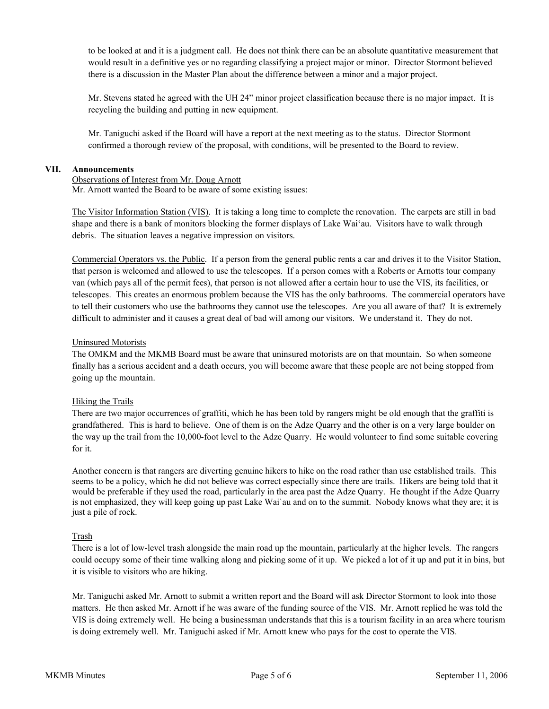to be looked at and it is a judgment call. He does not think there can be an absolute quantitative measurement that would result in a definitive yes or no regarding classifying a project major or minor. Director Stormont believed there is a discussion in the Master Plan about the difference between a minor and a major project.

Mr. Stevens stated he agreed with the UH 24" minor project classification because there is no major impact. It is recycling the building and putting in new equipment.

Mr. Taniguchi asked if the Board will have a report at the next meeting as to the status. Director Stormont confirmed a thorough review of the proposal, with conditions, will be presented to the Board to review.

#### **VII. Announcements**

Observations of Interest from Mr. Doug Arnott Mr. Arnott wanted the Board to be aware of some existing issues:

The Visitor Information Station (VIS). It is taking a long time to complete the renovation. The carpets are still in bad shape and there is a bank of monitors blocking the former displays of Lake Wai'au. Visitors have to walk through debris. The situation leaves a negative impression on visitors.

Commercial Operators vs. the Public. If a person from the general public rents a car and drives it to the Visitor Station, that person is welcomed and allowed to use the telescopes. If a person comes with a Roberts or Arnotts tour company van (which pays all of the permit fees), that person is not allowed after a certain hour to use the VIS, its facilities, or telescopes. This creates an enormous problem because the VIS has the only bathrooms. The commercial operators have to tell their customers who use the bathrooms they cannot use the telescopes. Are you all aware of that? It is extremely difficult to administer and it causes a great deal of bad will among our visitors. We understand it. They do not.

#### Uninsured Motorists

The OMKM and the MKMB Board must be aware that uninsured motorists are on that mountain. So when someone finally has a serious accident and a death occurs, you will become aware that these people are not being stopped from going up the mountain.

## Hiking the Trails

There are two major occurrences of graffiti, which he has been told by rangers might be old enough that the graffiti is grandfathered. This is hard to believe. One of them is on the Adze Quarry and the other is on a very large boulder on the way up the trail from the 10,000-foot level to the Adze Quarry. He would volunteer to find some suitable covering for it.

Another concern is that rangers are diverting genuine hikers to hike on the road rather than use established trails. This seems to be a policy, which he did not believe was correct especially since there are trails. Hikers are being told that it would be preferable if they used the road, particularly in the area past the Adze Quarry. He thought if the Adze Quarry is not emphasized, they will keep going up past Lake Wai`au and on to the summit. Nobody knows what they are; it is just a pile of rock.

## Trash

There is a lot of low-level trash alongside the main road up the mountain, particularly at the higher levels. The rangers could occupy some of their time walking along and picking some of it up. We picked a lot of it up and put it in bins, but it is visible to visitors who are hiking.

Mr. Taniguchi asked Mr. Arnott to submit a written report and the Board will ask Director Stormont to look into those matters. He then asked Mr. Arnott if he was aware of the funding source of the VIS. Mr. Arnott replied he was told the VIS is doing extremely well. He being a businessman understands that this is a tourism facility in an area where tourism is doing extremely well. Mr. Taniguchi asked if Mr. Arnott knew who pays for the cost to operate the VIS.